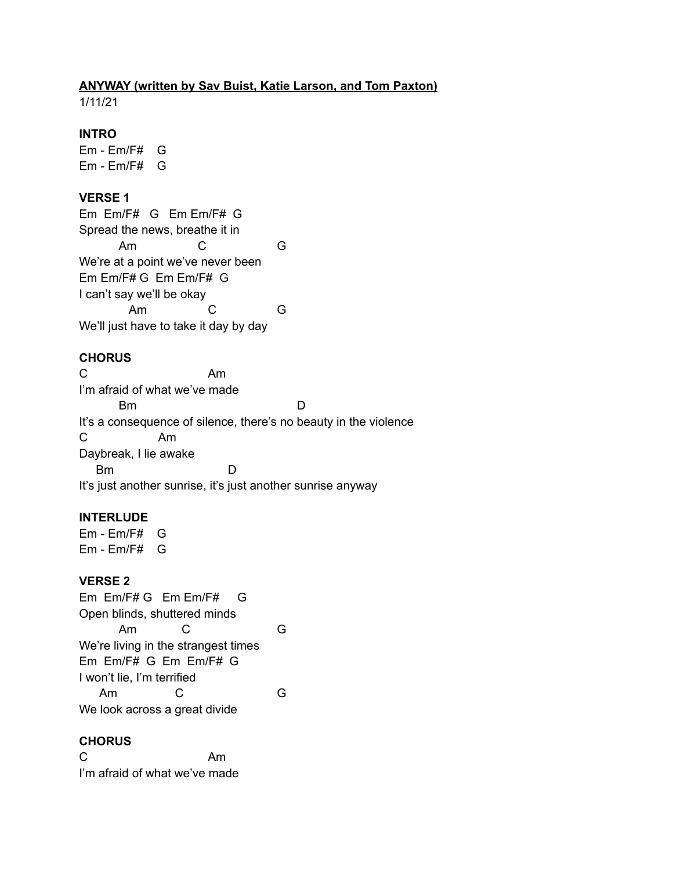# **ANYWAY (written by Sav Buist, Katie Larson, and Tom Paxton)**

1/11/21

## **INTRO**

Em - Em/F# G Em - Em/F# G

### **VERSE 1**

Em Em/F# G Em Em/F# G Spread the news, breathe it in Am C G We're at a point we've never been Em Em/F# G Em Em/F# G I can't say we'll be okay Am C G We'll just have to take it day by day

# **CHORUS**

C Am I'm afraid of what we've made Bm D It's a consequence of silence, there's no beauty in the violence C Am Daybreak, I lie awake Bm D It's just another sunrise, it's just another sunrise anyway

## **INTERLUDE**

Em - Em/F# G Em - Em/F# G

## **VERSE 2**

Em Em/F# G Em Em/F# G Open blinds, shuttered minds Am C G We're living in the strangest times Em Em/F# G Em Em/F# G I won't lie, I'm terrified Am C G We look across a great divide

## **CHORUS**

C<sub>Am</sub> I'm afraid of what we've made